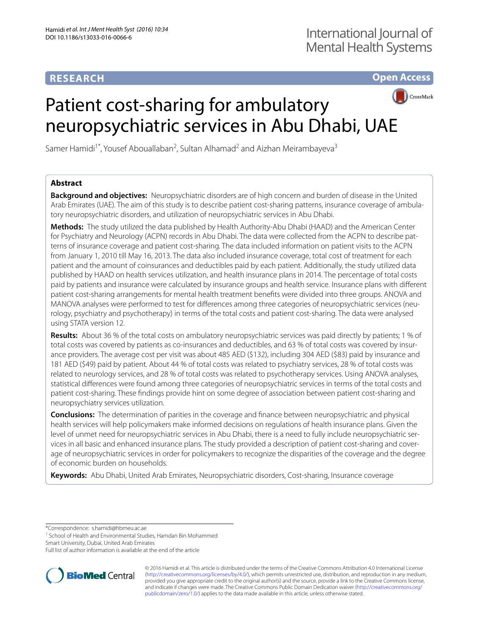## **RESEARCH**

**Open Access**



# Patient cost-sharing for ambulatory neuropsychiatric services in Abu Dhabi, UAE

Samer Hamidi<sup>1\*</sup>, Yousef Abouallaban<sup>2</sup>, Sultan Alhamad<sup>2</sup> and Aizhan Meirambayeva<sup>3</sup>

## **Abstract**

**Background and objectives:** Neuropsychiatric disorders are of high concern and burden of disease in the United Arab Emirates (UAE). The aim of this study is to describe patient cost-sharing patterns, insurance coverage of ambulatory neuropsychiatric disorders, and utilization of neuropsychiatric services in Abu Dhabi.

**Methods:** The study utilized the data published by Health Authority-Abu Dhabi (HAAD) and the American Center for Psychiatry and Neurology (ACPN) records in Abu Dhabi. The data were collected from the ACPN to describe patterns of insurance coverage and patient cost-sharing. The data included information on patient visits to the ACPN from January 1, 2010 till May 16, 2013. The data also included insurance coverage, total cost of treatment for each patient and the amount of coinsurances and deductibles paid by each patient. Additionally, the study utilized data published by HAAD on health services utilization, and health insurance plans in 2014. The percentage of total costs paid by patients and insurance were calculated by insurance groups and health service. Insurance plans with different patient cost-sharing arrangements for mental health treatment benefits were divided into three groups. ANOVA and MANOVA analyses were performed to test for differences among three categories of neuropsychiatric services (neurology, psychiatry and psychotherapy) in terms of the total costs and patient cost-sharing. The data were analysed using STATA version 12.

**Results:** About 36 % of the total costs on ambulatory neuropsychiatric services was paid directly by patients; 1 % of total costs was covered by patients as co-insurances and deductibles, and 63 % of total costs was covered by insurance providers. The average cost per visit was about 485 AED (\$132), including 304 AED (\$83) paid by insurance and 181 AED (\$49) paid by patient. About 44 % of total costs was related to psychiatry services, 28 % of total costs was related to neurology services, and 28 % of total costs was related to psychotherapy services. Using ANOVA analyses, statistical differences were found among three categories of neuropsychiatric services in terms of the total costs and patient cost-sharing. These findings provide hint on some degree of association between patient cost-sharing and neuropsychiatry services utilization.

**Conclusions:** The determination of parities in the coverage and finance between neuropsychiatric and physical health services will help policymakers make informed decisions on regulations of health insurance plans. Given the level of unmet need for neuropsychiatric services in Abu Dhabi, there is a need to fully include neuropsychiatric services in all basic and enhanced insurance plans. The study provided a description of patient cost-sharing and coverage of neuropsychiatric services in order for policymakers to recognize the disparities of the coverage and the degree of economic burden on households.

**Keywords:** Abu Dhabi, United Arab Emirates, Neuropsychiatric disorders, Cost-sharing, Insurance coverage

\*Correspondence: s.hamidi@hbmeu.ac.ae

<sup>1</sup> School of Health and Environmental Studies, Hamdan Bin Mohammed

Smart University, Dubai, United Arab Emirates

Full list of author information is available at the end of the article



© 2016 Hamidi et al. This article is distributed under the terms of the Creative Commons Attribution 4.0 International License [\(http://creativecommons.org/licenses/by/4.0/\)](http://creativecommons.org/licenses/by/4.0/), which permits unrestricted use, distribution, and reproduction in any medium, provided you give appropriate credit to the original author(s) and the source, provide a link to the Creative Commons license, and indicate if changes were made. The Creative Commons Public Domain Dedication waiver ([http://creativecommons.org/](http://creativecommons.org/publicdomain/zero/1.0/) [publicdomain/zero/1.0/](http://creativecommons.org/publicdomain/zero/1.0/)) applies to the data made available in this article, unless otherwise stated.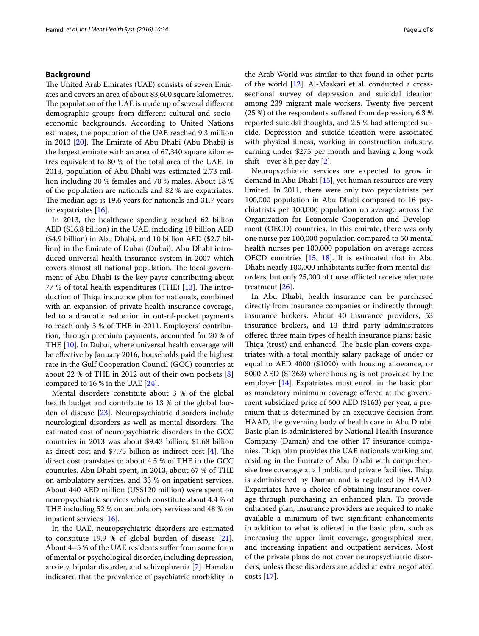#### **Background**

The United Arab Emirates (UAE) consists of seven Emirates and covers an area of about 83,600 square kilometres. The population of the UAE is made up of several different demographic groups from different cultural and socioeconomic backgrounds. According to United Nations estimates, the population of the UAE reached 9.3 million in 2013 [[20](#page-7-0)]. The Emirate of Abu Dhabi (Abu Dhabi) is the largest emirate with an area of 67,340 square kilometres equivalent to 80 % of the total area of the UAE. In 2013, population of Abu Dhabi was estimated 2.73 million including 30 % females and 70 % males. About 18 % of the population are nationals and 82 % are expatriates. The median age is 19.6 years for nationals and 31.7 years for expatriates [[16\]](#page-7-1).

In 2013, the healthcare spending reached 62 billion AED (\$16.8 billion) in the UAE, including 18 billion AED (\$4.9 billion) in Abu Dhabi, and 10 billion AED (\$2.7 billion) in the Emirate of Dubai (Dubai). Abu Dhabi introduced universal health insurance system in 2007 which covers almost all national population. The local government of Abu Dhabi is the key payer contributing about 77 % of total health expenditures (THE) [[13\]](#page-7-2). The introduction of Thiqa insurance plan for nationals, combined with an expansion of private health insurance coverage, led to a dramatic reduction in out-of-pocket payments to reach only 3 % of THE in 2011. Employers' contribution, through premium payments, accounted for 20 % of THE [\[10](#page-7-3)]. In Dubai, where universal health coverage will be effective by January 2016, households paid the highest rate in the Gulf Cooperation Council (GCC) countries at about 22 % of THE in 2012 out of their own pockets [\[8](#page-7-4)] compared to 16 % in the UAE [[24](#page-7-5)].

Mental disorders constitute about 3 % of the global health budget and contribute to 13 % of the global burden of disease [\[23](#page-7-6)]. Neuropsychiatric disorders include neurological disorders as well as mental disorders. The estimated cost of neuropsychiatric disorders in the GCC countries in 2013 was about \$9.43 billion; \$1.68 billion as direct cost and \$7.75 billion as indirect cost [\[4](#page-7-7)]. The direct cost translates to about 4.5 % of THE in the GCC countries. Abu Dhabi spent, in 2013, about 67 % of THE on ambulatory services, and 33 % on inpatient services. About 440 AED million (US\$120 million) were spent on neuropsychiatric services which constitute about 4.4 % of THE including 52 % on ambulatory services and 48 % on inpatient services [\[16](#page-7-1)].

In the UAE, neuropsychiatric disorders are estimated to constitute 19.9 % of global burden of disease [\[21](#page-7-8)]. About 4–5 % of the UAE residents suffer from some form of mental or psychological disorder, including depression, anxiety, bipolar disorder, and schizophrenia [\[7\]](#page-7-9). Hamdan indicated that the prevalence of psychiatric morbidity in the Arab World was similar to that found in other parts of the world [\[12](#page-7-10)]. Al-Maskari et al. conducted a crosssectional survey of depression and suicidal ideation among 239 migrant male workers. Twenty five percent (25 %) of the respondents suffered from depression, 6.3 % reported suicidal thoughts, and 2.5 % had attempted suicide. Depression and suicide ideation were associated with physical illness, working in construction industry, earning under \$275 per month and having a long work shift—over 8 h per day [\[2](#page-7-11)].

Neuropsychiatric services are expected to grow in demand in Abu Dhabi [\[15\]](#page-7-12), yet human resources are very limited. In 2011, there were only two psychiatrists per 100,000 population in Abu Dhabi compared to 16 psychiatrists per 100,000 population on average across the Organization for Economic Cooperation and Development (OECD) countries. In this emirate, there was only one nurse per 100,000 population compared to 50 mental health nurses per 100,000 population on average across OECD countries  $[15, 18]$  $[15, 18]$  $[15, 18]$ . It is estimated that in Abu Dhabi nearly 100,000 inhabitants suffer from mental disorders, but only 25,000 of those afflicted receive adequate treatment [[26](#page-7-14)].

In Abu Dhabi, health insurance can be purchased directly from insurance companies or indirectly through insurance brokers. About 40 insurance providers, 53 insurance brokers, and 13 third party administrators offered three main types of health insurance plans: basic, Thiqa (trust) and enhanced. The basic plan covers expatriates with a total monthly salary package of under or equal to AED 4000 (\$1090) with housing allowance, or 5000 AED (\$1363) where housing is not provided by the employer [[14](#page-7-15)]. Expatriates must enroll in the basic plan as mandatory minimum coverage offered at the government subsidized price of 600 AED (\$163) per year, a premium that is determined by an executive decision from HAAD, the governing body of health care in Abu Dhabi. Basic plan is administered by National Health Insurance Company (Daman) and the other 17 insurance companies. Thiqa plan provides the UAE nationals working and residing in the Emirate of Abu Dhabi with comprehensive free coverage at all public and private facilities. Thiqa is administered by Daman and is regulated by HAAD. Expatriates have a choice of obtaining insurance coverage through purchasing an enhanced plan. To provide enhanced plan, insurance providers are required to make available a minimum of two significant enhancements in addition to what is offered in the basic plan, such as increasing the upper limit coverage, geographical area, and increasing inpatient and outpatient services. Most of the private plans do not cover neuropsychiatric disorders, unless these disorders are added at extra negotiated costs [[17\]](#page-7-16).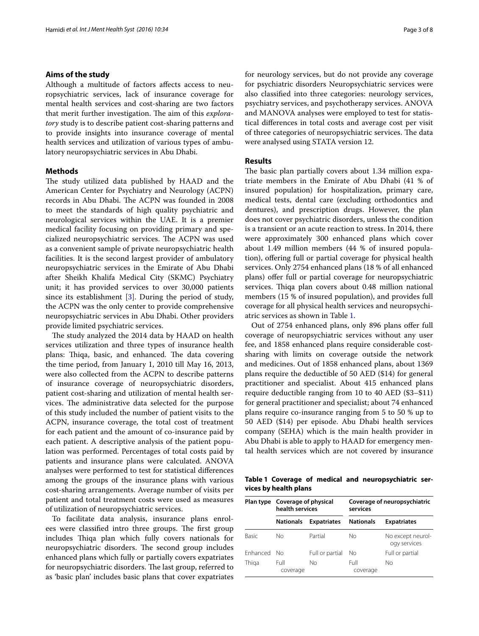#### **Aims of the study**

Although a multitude of factors affects access to neuropsychiatric services, lack of insurance coverage for mental health services and cost-sharing are two factors that merit further investigation. The aim of this *exploratory* study is to describe patient cost-sharing patterns and to provide insights into insurance coverage of mental health services and utilization of various types of ambulatory neuropsychiatric services in Abu Dhabi.

#### **Methods**

The study utilized data published by HAAD and the American Center for Psychiatry and Neurology (ACPN) records in Abu Dhabi. The ACPN was founded in 2008 to meet the standards of high quality psychiatric and neurological services within the UAE. It is a premier medical facility focusing on providing primary and specialized neuropsychiatric services. The ACPN was used as a convenient sample of private neuropsychiatric health facilities. It is the second largest provider of ambulatory neuropsychiatric services in the Emirate of Abu Dhabi after Sheikh Khalifa Medical City (SKMC) Psychiatry unit; it has provided services to over 30,000 patients since its establishment [\[3](#page-7-17)]. During the period of study, the ACPN was the only center to provide comprehensive neuropsychiatric services in Abu Dhabi. Other providers provide limited psychiatric services.

The study analyzed the 2014 data by HAAD on health services utilization and three types of insurance health plans: Thiqa, basic, and enhanced. The data covering the time period, from January 1, 2010 till May 16, 2013, were also collected from the ACPN to describe patterns of insurance coverage of neuropsychiatric disorders, patient cost-sharing and utilization of mental health services. The administrative data selected for the purpose of this study included the number of patient visits to the ACPN, insurance coverage, the total cost of treatment for each patient and the amount of co-insurance paid by each patient. A descriptive analysis of the patient population was performed. Percentages of total costs paid by patients and insurance plans were calculated. ANOVA analyses were performed to test for statistical differences among the groups of the insurance plans with various cost-sharing arrangements. Average number of visits per patient and total treatment costs were used as measures of utilization of neuropsychiatric services.

To facilitate data analysis, insurance plans enrolees were classified intro three groups. The first group includes Thiqa plan which fully covers nationals for neuropsychiatric disorders. The second group includes enhanced plans which fully or partially covers expatriates for neuropsychiatric disorders. The last group, referred to as 'basic plan' includes basic plans that cover expatriates for neurology services, but do not provide any coverage for psychiatric disorders Neuropsychiatric services were also classified into three categories: neurology services, psychiatry services, and psychotherapy services. ANOVA and MANOVA analyses were employed to test for statistical differences in total costs and average cost per visit of three categories of neuropsychiatric services. The data were analysed using STATA version 12.

### **Results**

The basic plan partially covers about 1.34 million expatriate members in the Emirate of Abu Dhabi (41 % of insured population) for hospitalization, primary care, medical tests, dental care (excluding orthodontics and dentures), and prescription drugs. However, the plan does not cover psychiatric disorders, unless the condition is a transient or an acute reaction to stress. In 2014, there were approximately 300 enhanced plans which cover about 1.49 million members (44 % of insured population), offering full or partial coverage for physical health services. Only 2754 enhanced plans (18 % of all enhanced plans) offer full or partial coverage for neuropsychiatric services. Thiqa plan covers about 0.48 million national members (15 % of insured population), and provides full coverage for all physical health services and neuropsychiatric services as shown in Table [1.](#page-2-0)

Out of 2754 enhanced plans, only 896 plans offer full coverage of neuropsychiatric services without any user fee, and 1858 enhanced plans require considerable costsharing with limits on coverage outside the network and medicines. Out of 1858 enhanced plans, about 1369 plans require the deductible of 50 AED (\$14) for general practitioner and specialist. About 415 enhanced plans require deductible ranging from 10 to 40 AED (\$3–\$11) for general practitioner and specialist; about 74 enhanced plans require co-insurance ranging from 5 to 50 % up to 50 AED (\$14) per episode. Abu Dhabi health services company (SEHA) which is the main health provider in Abu Dhabi is able to apply to HAAD for emergency mental health services which are not covered by insurance

<span id="page-2-0"></span>**Table 1 Coverage of medical and neuropsychiatric services by health plans**

|                 | Plan type Coverage of physical<br>health services |                    | Coverage of neuropsychiatric<br>services |                                   |  |
|-----------------|---------------------------------------------------|--------------------|------------------------------------------|-----------------------------------|--|
|                 | <b>Nationals</b>                                  | <b>Expatriates</b> | <b>Nationals</b>                         | <b>Expatriates</b>                |  |
| Basic           | Nο                                                | Partial            | Nο                                       | No except neurol-<br>ogy services |  |
| <b>Enhanced</b> | Nο                                                | Full or partial    | Nο                                       | Full or partial                   |  |
| Thiga           | Full<br>coverage                                  | No                 | Full<br>coverage                         | Nο                                |  |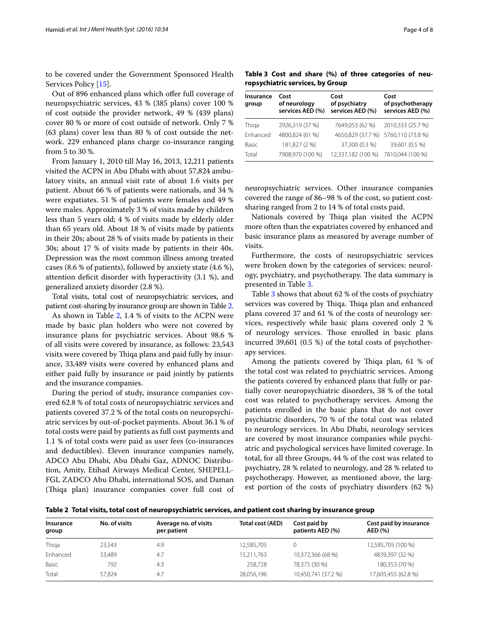to be covered under the Government Sponsored Health Services Policy [[15\]](#page-7-12).

Out of 896 enhanced plans which offer full coverage of neuropsychiatric services, 43 % (385 plans) cover 100 % of cost outside the provider network, 49 % (439 plans) cover 80 % or more of cost outside of network. Only 7 % (63 plans) cover less than 80 % of cost outside the network. 229 enhanced plans charge co-insurance ranging from 5 to 30 %.

From January 1, 2010 till May 16, 2013, 12,211 patients visited the ACPN in Abu Dhabi with about 57,824 ambulatory visits, an annual visit rate of about 1.6 visits per patient. About 66 % of patients were nationals, and 34 % were expatiates. 51 % of patients were females and 49 % were males. Approximately 3 % of visits made by children less than 5 years old; 4 % of visits made by elderly older than 65 years old. About 18 % of visits made by patients in their 20s; about 28 % of visits made by patients in their 30s; about 17 % of visits made by patients in their 40s. Depression was the most common illness among treated cases (8.6 % of patients), followed by anxiety state (4.6 %), attention deficit disorder with hyperactivity (3.1 %), and generalized anxiety disorder (2.8 %).

Total visits, total cost of neuropsychiatric services, and patient cost-sharing by insurance group are shown in Table [2](#page-3-0).

As shown in Table [2](#page-3-0), 1.4 % of visits to the ACPN were made by basic plan holders who were not covered by insurance plans for psychiatric services. About 98.6 % of all visits were covered by insurance, as follows: 23,543 visits were covered by Thiqa plans and paid fully by insurance, 33,489 visits were covered by enhanced plans and either paid fully by insurance or paid jointly by patients and the insurance companies.

During the period of study, insurance companies covered 62.8 % of total costs of neuropsychiatric services and patients covered 37.2 % of the total costs on neuropsychiatric services by out-of-pocket payments. About 36.1 % of total costs were paid by patients as full cost payments and 1.1 % of total costs were paid as user fees (co-insurances and deductibles). Eleven insurance companies namely, ADCO Abu Dhabi, Abu Dhabi Gaz, ADNOC Distribution, Amity, Etihad Airways Medical Center, SHEPELL-FGI, ZADCO Abu Dhabi, international SOS, and Daman (Thiqa plan) insurance companies cover full cost of

<span id="page-3-1"></span>**Table 3 Cost and share (%) of three categories of neuropsychiatric services, by Group**

| Insurance<br>group | Cost<br>of neurology<br>services AED (%) | Cost<br>of psychiatry<br>services AED (%) | Cost<br>of psychotherapy<br>services AED (%) |  |
|--------------------|------------------------------------------|-------------------------------------------|----------------------------------------------|--|
| Thiga              | 2926,319 (37 %)                          | 7649,053 (62 %)                           | 2010,333 (25.7 %)                            |  |
| Enhanced           | 4800,824 (61 %)                          | 4650,829 (37.7 %)                         | 5760,110 (73.8 %)                            |  |
| Basic              | 181,827 (2 %)                            | 37,300 (0.3 %)                            | 39,601 (0.5 %)                               |  |
| Total              | 7908,970 (100 %)                         | 12,337,182 (100 %)                        | 7810,044 (100 %)                             |  |

neuropsychiatric services. Other insurance companies covered the range of 86–98 % of the cost, so patient costsharing ranged from 2 to 14 % of total costs paid.

Nationals covered by Thiqa plan visited the ACPN more often than the expatriates covered by enhanced and basic insurance plans as measured by average number of visits.

Furthermore, the costs of neuropsychiatric services were broken down by the categories of services: neurology, psychiatry, and psychotherapy. The data summary is presented in Table [3](#page-3-1).

Table [3](#page-3-1) shows that about 62 % of the costs of psychiatry services was covered by Thiqa. Thiqa plan and enhanced plans covered 37 and 61 % of the costs of neurology services, respectively while basic plans covered only 2 % of neurology services. Those enrolled in basic plans incurred 39,601 (0.5 %) of the total costs of psychotherapy services.

Among the patients covered by Thiqa plan, 61 % of the total cost was related to psychiatric services. Among the patients covered by enhanced plans that fully or partially cover neuropsychiatric disorders, 38 % of the total cost was related to psychotherapy services. Among the patients enrolled in the basic plans that do not cover psychiatric disorders, 70 % of the total cost was related to neurology services. In Abu Dhabi, neurology services are covered by most insurance companies while psychiatric and psychological services have limited coverage. In total, for all three Groups, 44 % of the cost was related to psychiatry, 28 % related to neurology, and 28 % related to psychotherapy. However, as mentioned above, the largest portion of the costs of psychiatry disorders (62 %)

<span id="page-3-0"></span>**Table 2 Total visits, total cost of neuropsychiatric services, and patient cost sharing by insurance group**

| Insurance<br>group | No. of visits | Average no. of visits<br>per patient | Total cost (AED) | Cost paid by<br>patients AED (%) | Cost paid by insurance<br>AED (%) |
|--------------------|---------------|--------------------------------------|------------------|----------------------------------|-----------------------------------|
| Thiga              | 23.543        | 4.9                                  | 12,585,705       |                                  | 12,585,705 (100 %)                |
| Enhanced           | 33.489        | 4.7                                  | 15,211,763       | 10,372,366 (68 %)                | 4839,397 (32 %)                   |
| Basic              | 792           | 4.3                                  | 258.728          | 78.375 (30 %)                    | 180,353 (70 %)                    |
| Total              | 57.824        | 4.7                                  | 28,056,196       | 10,450,741 (37.2 %)              | 17,605,455 (62.8 %)               |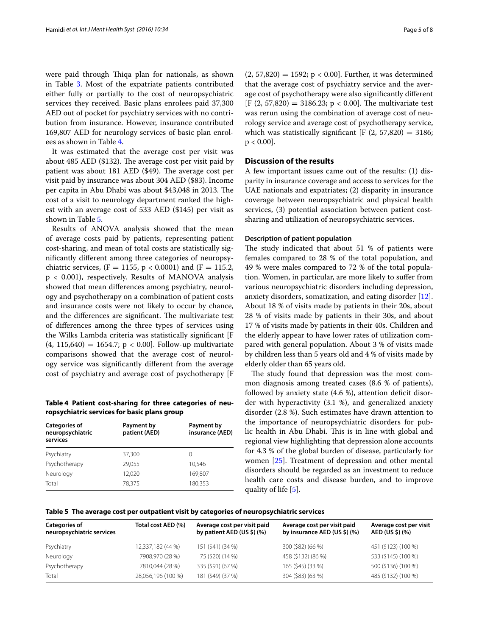were paid through Thiqa plan for nationals, as shown in Table [3](#page-3-1). Most of the expatriate patients contributed either fully or partially to the cost of neuropsychiatric services they received. Basic plans enrolees paid 37,300 AED out of pocket for psychiatry services with no contribution from insurance. However, insurance contributed 169,807 AED for neurology services of basic plan enrolees as shown in Table [4](#page-4-0).

It was estimated that the average cost per visit was about 485 AED (\$132). The average cost per visit paid by patient was about 181 AED (\$49). The average cost per visit paid by insurance was about 304 AED (\$83). Income per capita in Abu Dhabi was about \$43,048 in 2013. The cost of a visit to neurology department ranked the highest with an average cost of 533 AED (\$145) per visit as shown in Table [5.](#page-4-1)

Results of ANOVA analysis showed that the mean of average costs paid by patients, representing patient cost-sharing, and mean of total costs are statistically significantly different among three categories of neuropsychiatric services, (F = 1155, p < 0.0001) and (F = 115.2,  $p < 0.001$ ), respectively. Results of MANOVA analysis showed that mean differences among psychiatry, neurology and psychotherapy on a combination of patient costs and insurance costs were not likely to occur by chance, and the differences are significant. The multivariate test of differences among the three types of services using the Wilks Lambda criteria was statistically significant [F  $(4, 115,640) = 1654.7$ ; p < 0.00]. Follow-up multivariate comparisons showed that the average cost of neurology service was significantly different from the average cost of psychiatry and average cost of psychotherapy [F

<span id="page-4-0"></span>**Table 4 Patient cost-sharing for three categories of neuropsychiatric services for basic plans group**

| <b>Categories of</b><br>neuropsychiatric<br>services | Payment by<br>patient (AED) | Payment by<br>insurance (AED) |
|------------------------------------------------------|-----------------------------|-------------------------------|
| Psychiatry                                           | 37,300                      | $\left( \right)$              |
| Psychotherapy                                        | 29.055                      | 10.546                        |
| Neurology                                            | 12.020                      | 169.807                       |
| Total                                                | 78.375                      | 180,353                       |

 $(2, 57,820) = 1592$ ; p < 0.00]. Further, it was determined that the average cost of psychiatry service and the average cost of psychotherapy were also significantly different [F  $(2, 57,820) = 3186.23$ ; p < 0.00]. The multivariate test was rerun using the combination of average cost of neurology service and average cost of psychotherapy service, which was statistically significant [F  $(2, 57,820) = 3186$ ;  $p < 0.00$ .

### **Discussion of the results**

A few important issues came out of the results: (1) disparity in insurance coverage and access to services for the UAE nationals and expatriates; (2) disparity in insurance coverage between neuropsychiatric and physical health services, (3) potential association between patient costsharing and utilization of neuropsychiatric services.

#### **Description of patient population**

The study indicated that about 51 % of patients were females compared to 28 % of the total population, and 49 % were males compared to 72 % of the total population. Women, in particular, are more likely to suffer from various neuropsychiatric disorders including depression, anxiety disorders, somatization, and eating disorder [\[12](#page-7-10)]. About 18 % of visits made by patients in their 20s, about 28 % of visits made by patients in their 30s, and about 17 % of visits made by patients in their 40s. Children and the elderly appear to have lower rates of utilization compared with general population. About 3 % of visits made by children less than 5 years old and 4 % of visits made by elderly older than 65 years old.

The study found that depression was the most common diagnosis among treated cases (8.6 % of patients), followed by anxiety state (4.6 %), attention deficit disorder with hyperactivity (3.1 %), and generalized anxiety disorder (2.8 %). Such estimates have drawn attention to the importance of neuropsychiatric disorders for public health in Abu Dhabi. This is in line with global and regional view highlighting that depression alone accounts for 4.3 % of the global burden of disease, particularly for women [[25](#page-7-18)]. Treatment of depression and other mental disorders should be regarded as an investment to reduce health care costs and disease burden, and to improve quality of life [\[5](#page-7-19)].

<span id="page-4-1"></span>**Table 5 The average cost per outpatient visit by categories of neuropsychiatric services**

| <b>Categories of</b><br>neuropsychiatric services | Total cost AED (%) | Average cost per visit paid<br>by patient AED (US \$) $(\% )$ | Average cost per visit paid<br>by insurance AED (US \$) (%) | Average cost per visit<br>AED (US \$) (%) |
|---------------------------------------------------|--------------------|---------------------------------------------------------------|-------------------------------------------------------------|-------------------------------------------|
| Psychiatry                                        | 12,337,182 (44 %)  | 151 (\$41) (34 %)                                             | 300 (\$82) (66 %)                                           | 451 (\$123) (100 %)                       |
| Neurology                                         | 7908,970 (28 %)    | 75 (\$20) (14 %)                                              | 458 (\$132) (86 %)                                          | 533 (\$145) (100 %)                       |
| Psychotherapy                                     | 7810,044 (28 %)    | 335 (\$91) (67 %)                                             | 165 (\$45) (33 %)                                           | 500 (\$136) (100 %)                       |
| Total                                             | 28,056,196 (100 %) | 181 (\$49) (37 %)                                             | 304 (\$83) (63 %)                                           | 485 (\$132) (100 %)                       |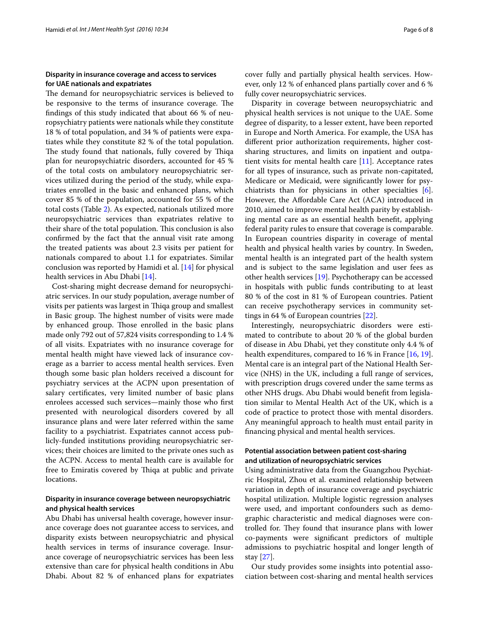### **Disparity in insurance coverage and access to services for UAE nationals and expatriates**

The demand for neuropsychiatric services is believed to be responsive to the terms of insurance coverage. The findings of this study indicated that about 66 % of neuropsychiatry patients were nationals while they constitute 18 % of total population, and 34 % of patients were expatiates while they constitute 82 % of the total population. The study found that nationals, fully covered by Thiqa plan for neuropsychiatric disorders, accounted for 45 % of the total costs on ambulatory neuropsychiatric services utilized during the period of the study, while expatriates enrolled in the basic and enhanced plans, which cover 85 % of the population, accounted for 55 % of the total costs (Table [2\)](#page-3-0). As expected, nationals utilized more neuropsychiatric services than expatriates relative to their share of the total population. This conclusion is also confirmed by the fact that the annual visit rate among the treated patients was about 2.3 visits per patient for nationals compared to about 1.1 for expatriates. Similar conclusion was reported by Hamidi et al. [\[14](#page-7-15)] for physical health services in Abu Dhabi [[14](#page-7-15)].

Cost-sharing might decrease demand for neuropsychiatric services. In our study population, average number of visits per patients was largest in Thiqa group and smallest in Basic group. The highest number of visits were made by enhanced group. Those enrolled in the basic plans made only 792 out of 57,824 visits corresponding to 1.4 % of all visits. Expatriates with no insurance coverage for mental health might have viewed lack of insurance coverage as a barrier to access mental health services. Even though some basic plan holders received a discount for psychiatry services at the ACPN upon presentation of salary certificates, very limited number of basic plans enrolees accessed such services—mainly those who first presented with neurological disorders covered by all insurance plans and were later referred within the same facility to a psychiatrist. Expatriates cannot access publicly-funded institutions providing neuropsychiatric services; their choices are limited to the private ones such as the ACPN. Access to mental health care is available for free to Emiratis covered by Thiqa at public and private locations.

## **Disparity in insurance coverage between neuropsychiatric and physical health services**

Abu Dhabi has universal health coverage, however insurance coverage does not guarantee access to services, and disparity exists between neuropsychiatric and physical health services in terms of insurance coverage. Insurance coverage of neuropsychiatric services has been less extensive than care for physical health conditions in Abu Dhabi. About 82 % of enhanced plans for expatriates cover fully and partially physical health services. However, only 12 % of enhanced plans partially cover and 6 % fully cover neuropsychiatric services.

Disparity in coverage between neuropsychiatric and physical health services is not unique to the UAE. Some degree of disparity, to a lesser extent, have been reported in Europe and North America. For example, the USA has different prior authorization requirements, higher costsharing structures, and limits on inpatient and outpatient visits for mental health care [[11\]](#page-7-20). Acceptance rates for all types of insurance, such as private non-capitated, Medicare or Medicaid, were significantly lower for psychiatrists than for physicians in other specialties [\[6](#page-7-21)]. However, the Affordable Care Act (ACA) introduced in 2010, aimed to improve mental health parity by establishing mental care as an essential health benefit, applying federal parity rules to ensure that coverage is comparable. In European countries disparity in coverage of mental health and physical health varies by country. In Sweden, mental health is an integrated part of the health system and is subject to the same legislation and user fees as other health services [[19\]](#page-7-22). Psychotherapy can be accessed in hospitals with public funds contributing to at least 80 % of the cost in 81 % of European countries. Patient can receive psychotherapy services in community settings in 64 % of European countries [\[22](#page-7-23)].

Interestingly, neuropsychiatric disorders were estimated to contribute to about 20 % of the global burden of disease in Abu Dhabi, yet they constitute only 4.4 % of health expenditures, compared to 16 % in France [[16,](#page-7-1) [19](#page-7-22)]. Mental care is an integral part of the National Health Service (NHS) in the UK, including a full range of services, with prescription drugs covered under the same terms as other NHS drugs. Abu Dhabi would benefit from legislation similar to Mental Health Act of the UK, which is a code of practice to protect those with mental disorders. Any meaningful approach to health must entail parity in financing physical and mental health services.

## **Potential association between patient cost‑sharing and utilization of neuropsychiatric services**

Using administrative data from the Guangzhou Psychiatric Hospital, Zhou et al. examined relationship between variation in depth of insurance coverage and psychiatric hospital utilization. Multiple logistic regression analyses were used, and important confounders such as demographic characteristic and medical diagnoses were controlled for. They found that insurance plans with lower co-payments were significant predictors of multiple admissions to psychiatric hospital and longer length of stay [\[27\]](#page-7-24).

Our study provides some insights into potential association between cost-sharing and mental health services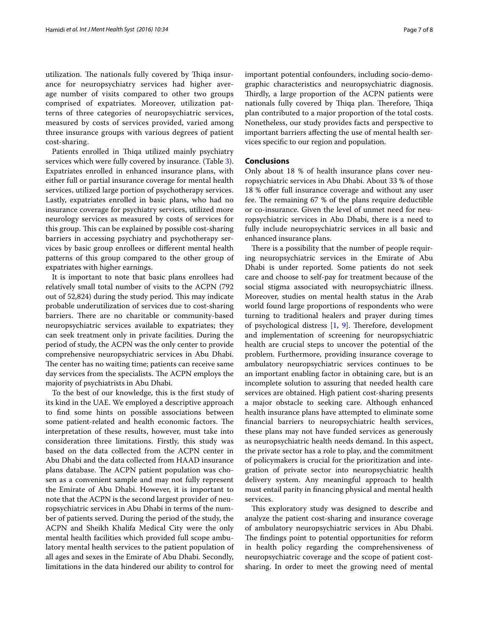utilization. The nationals fully covered by Thiqa insurance for neuropsychiatry services had higher average number of visits compared to other two groups comprised of expatriates. Moreover, utilization patterns of three categories of neuropsychiatric services, measured by costs of services provided, varied among three insurance groups with various degrees of patient cost-sharing.

Patients enrolled in Thiqa utilized mainly psychiatry services which were fully covered by insurance. (Table [3](#page-3-1)). Expatriates enrolled in enhanced insurance plans, with either full or partial insurance coverage for mental health services, utilized large portion of psychotherapy services. Lastly, expatriates enrolled in basic plans, who had no insurance coverage for psychiatry services, utilized more neurology services as measured by costs of services for this group. This can be explained by possible cost-sharing barriers in accessing psychiatry and psychotherapy services by basic group enrollees or different mental health patterns of this group compared to the other group of expatriates with higher earnings.

It is important to note that basic plans enrollees had relatively small total number of visits to the ACPN (792 out of 52,824) during the study period. This may indicate probable underutilization of services due to cost-sharing barriers. There are no charitable or community-based neuropsychiatric services available to expatriates; they can seek treatment only in private facilities. During the period of study, the ACPN was the only center to provide comprehensive neuropsychiatric services in Abu Dhabi. The center has no waiting time; patients can receive same day services from the specialists. The ACPN employs the majority of psychiatrists in Abu Dhabi.

To the best of our knowledge, this is the first study of its kind in the UAE. We employed a descriptive approach to find some hints on possible associations between some patient-related and health economic factors. The interpretation of these results, however, must take into consideration three limitations. Firstly, this study was based on the data collected from the ACPN center in Abu Dhabi and the data collected from HAAD insurance plans database. The ACPN patient population was chosen as a convenient sample and may not fully represent the Emirate of Abu Dhabi. However, it is important to note that the ACPN is the second largest provider of neuropsychiatric services in Abu Dhabi in terms of the number of patients served. During the period of the study, the ACPN and Sheikh Khalifa Medical City were the only mental health facilities which provided full scope ambulatory mental health services to the patient population of all ages and sexes in the Emirate of Abu Dhabi. Secondly, limitations in the data hindered our ability to control for important potential confounders, including socio-demographic characteristics and neuropsychiatric diagnosis. Thirdly, a large proportion of the ACPN patients were nationals fully covered by Thiqa plan. Therefore, Thiqa plan contributed to a major proportion of the total costs. Nonetheless, our study provides facts and perspective to important barriers affecting the use of mental health services specific to our region and population.

#### **Conclusions**

Only about 18 % of health insurance plans cover neuropsychiatric services in Abu Dhabi. About 33 % of those 18 % offer full insurance coverage and without any user fee. The remaining 67 % of the plans require deductible or co-insurance. Given the level of unmet need for neuropsychiatric services in Abu Dhabi, there is a need to fully include neuropsychiatric services in all basic and enhanced insurance plans.

There is a possibility that the number of people requiring neuropsychiatric services in the Emirate of Abu Dhabi is under reported. Some patients do not seek care and choose to self-pay for treatment because of the social stigma associated with neuropsychiatric illness. Moreover, studies on mental health status in the Arab world found large proportions of respondents who were turning to traditional healers and prayer during times of psychological distress [\[1](#page-7-25), [9](#page-7-26)]. Therefore, development and implementation of screening for neuropsychiatric health are crucial steps to uncover the potential of the problem. Furthermore, providing insurance coverage to ambulatory neuropsychiatric services continues to be an important enabling factor in obtaining care, but is an incomplete solution to assuring that needed health care services are obtained. High patient cost-sharing presents a major obstacle to seeking care. Although enhanced health insurance plans have attempted to eliminate some financial barriers to neuropsychiatric health services, these plans may not have funded services as generously as neuropsychiatric health needs demand. In this aspect, the private sector has a role to play, and the commitment of policymakers is crucial for the prioritization and integration of private sector into neuropsychiatric health delivery system. Any meaningful approach to health must entail parity in financing physical and mental health services.

This exploratory study was designed to describe and analyze the patient cost-sharing and insurance coverage of ambulatory neuropsychiatric services in Abu Dhabi. The findings point to potential opportunities for reform in health policy regarding the comprehensiveness of neuropsychiatric coverage and the scope of patient costsharing. In order to meet the growing need of mental